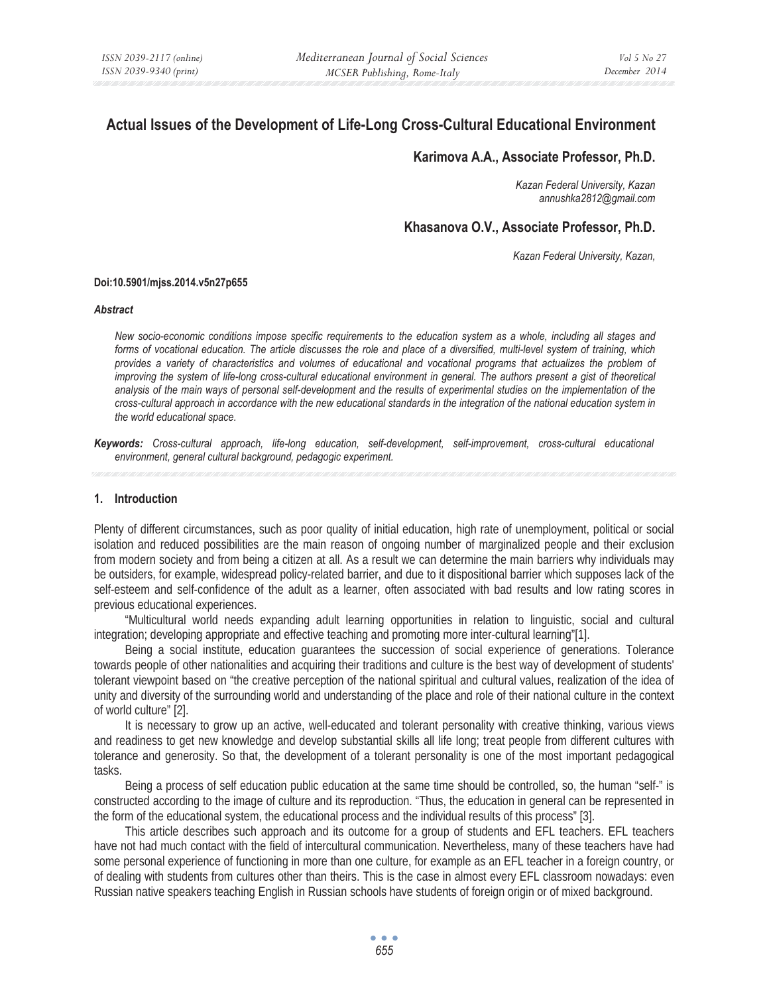# **Actual Issues of the Development of Life-Long Cross-Cultural Educational Environment**

# **Karimova A.A., Associate Professor, Ph.D.**

*Kazan Federal University, Kazan annushka2812@gmail.com* 

## **Khasanova O.V., Associate Professor, Ph.D.**

*Kazan Federal University, Kazan,* 

#### **Doi:10.5901/mjss.2014.v5n27p655**

#### *Abstract*

*New socio-economic conditions impose specific requirements to the education system as a whole, including all stages and forms of vocational education. The article discusses the role and place of a diversified, multi-level system of training, which provides a variety of characteristics and volumes of educational and vocational programs that actualizes the problem of improving the system of life-long cross-cultural educational environment in general. The authors present a gist of theoretical analysis of the main ways of personal self-development and the results of experimental studies on the implementation of the cross-cultural approach in accordance with the new educational standards in the integration of the national education system in the world educational space.* 

*Keywords: Cross-cultural approach, life-long education, self-development, self-improvement, cross-cultural educational environment, general cultural background, pedagogic experiment.* 

#### **1. Introduction**

Plenty of different circumstances, such as poor quality of initial education, high rate of unemployment, political or social isolation and reduced possibilities are the main reason of ongoing number of marginalized people and their exclusion from modern society and from being a citizen at all. As a result we can determine the main barriers why individuals may be outsiders, for example, widespread policy-related barrier, and due to it dispositional barrier which supposes lack of the self-esteem and self-confidence of the adult as a learner, often associated with bad results and low rating scores in previous educational experiences.

"Multicultural world needs expanding adult learning opportunities in relation to linguistic, social and cultural integration; developing appropriate and effective teaching and promoting more inter-cultural learning"[1].

Being a social institute, education guarantees the succession of social experience of generations. Tolerance towards people of other nationalities and acquiring their traditions and culture is the best way of development of students' tolerant viewpoint based on "the creative perception of the national spiritual and cultural values, realization of the idea of unity and diversity of the surrounding world and understanding of the place and role of their national culture in the context of world culture" [2].

It is necessary to grow up an active, well-educated and tolerant personality with creative thinking, various views and readiness to get new knowledge and develop substantial skills all life long; treat people from different cultures with tolerance and generosity. So that, the development of a tolerant personality is one of the most important pedagogical tasks.

Being a process of self education public education at the same time should be controlled, so, the human "self-" is constructed according to the image of culture and its reproduction. "Thus, the education in general can be represented in the form of the educational system, the educational process and the individual results of this process" [3].

This article describes such approach and its outcome for a group of students and EFL teachers. EFL teachers have not had much contact with the field of intercultural communication. Nevertheless, many of these teachers have had some personal experience of functioning in more than one culture, for example as an EFL teacher in a foreign country, or of dealing with students from cultures other than theirs. This is the case in almost every EFL classroom nowadays: even Russian native speakers teaching English in Russian schools have students of foreign origin or of mixed background.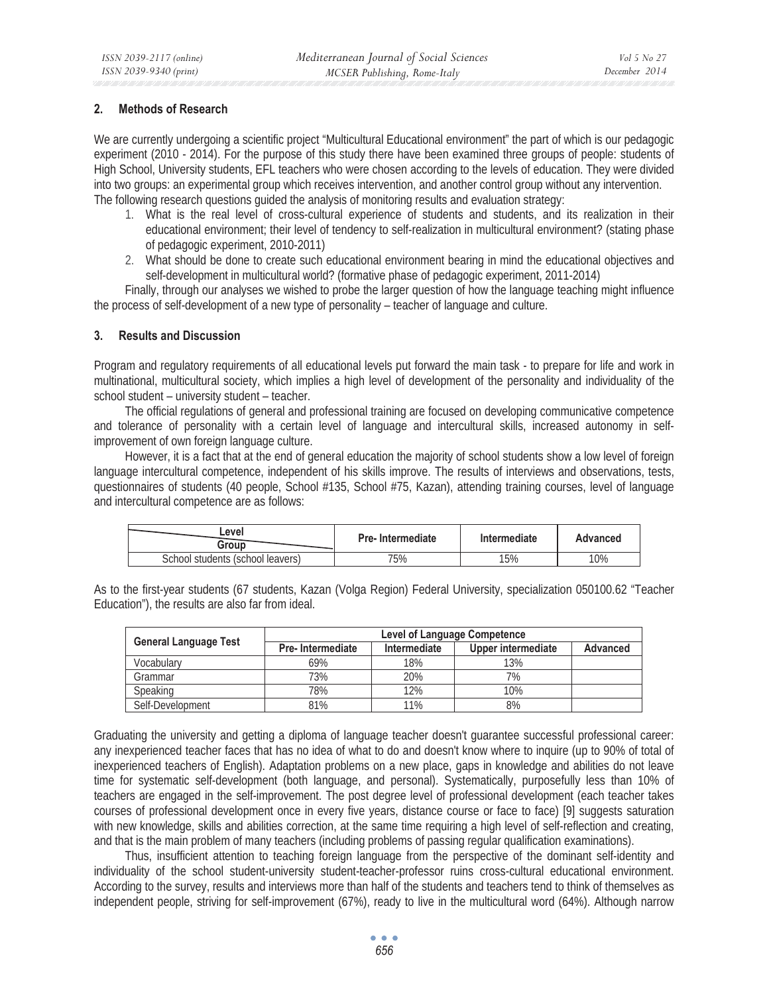## **2. Methods of Research**

We are currently undergoing a scientific project "Multicultural Educational environment" the part of which is our pedagogic experiment (2010 - 2014). For the purpose of this study there have been examined three groups of people: students of High School, University students, EFL teachers who were chosen according to the levels of education. They were divided into two groups: an experimental group which receives intervention, and another control group without any intervention. The following research questions guided the analysis of monitoring results and evaluation strategy:

- 1. What is the real level of cross-cultural experience of students and students, and its realization in their educational environment; their level of tendency to self-realization in multicultural environment? (stating phase of pedagogic experiment, 2010-2011)
- 2. What should be done to create such educational environment bearing in mind the educational objectives and self-development in multicultural world? (formative phase of pedagogic experiment, 2011-2014)

Finally, through our analyses we wished to probe the larger question of how the language teaching might influence the process of self-development of a new type of personality – teacher of language and culture.

## **3. Results and Discussion**

Program and regulatory requirements of all educational levels put forward the main task - to prepare for life and work in multinational, multicultural society, which implies a high level of development of the personality and individuality of the school student – university student – teacher.

The official regulations of general and professional training are focused on developing communicative competence and tolerance of personality with a certain level of language and intercultural skills, increased autonomy in selfimprovement of own foreign language culture.

However, it is a fact that at the end of general education the majority of school students show a low level of foreign language intercultural competence, independent of his skills improve. The results of interviews and observations, tests, questionnaires of students (40 people, School #135, School #75, Kazan), attending training courses, level of language and intercultural competence are as follows:

| .evel<br>Group                   | <b>Pre-Intermediate</b> | Intermediate | Advanced |
|----------------------------------|-------------------------|--------------|----------|
| School students (school leavers) | 75%                     | 15%          | 10%      |

As to the first-year students (67 students, Kazan (Volga Region) Federal University, specialization 050100.62 "Teacher Education"), the results are also far from ideal.

|                              | Level of Language Competence |              |                    |                 |  |
|------------------------------|------------------------------|--------------|--------------------|-----------------|--|
| <b>General Language Test</b> | <b>Pre-Intermediate</b>      | Intermediate | Upper intermediate | <b>Advanced</b> |  |
| Vocabularv                   | 69%                          | 18%          | 13%                |                 |  |
| Grammar                      | 73%                          | 20%          | 7%                 |                 |  |
| Speaking                     | 78%                          | 12%          | 10%                |                 |  |
| Self-Development             | 81%                          | 11%          | 8%                 |                 |  |

Graduating the university and getting a diploma of language teacher doesn't guarantee successful professional career: any inexperienced teacher faces that has no idea of what to do and doesn't know where to inquire (up to 90% of total of inexperienced teachers of English). Adaptation problems on a new place, gaps in knowledge and abilities do not leave time for systematic self-development (both language, and personal). Systematically, purposefully less than 10% of teachers are engaged in the self-improvement. The post degree level of professional development (each teacher takes courses of professional development once in every five years, distance course or face to face) [9] suggests saturation with new knowledge, skills and abilities correction, at the same time requiring a high level of self-reflection and creating, and that is the main problem of many teachers (including problems of passing regular qualification examinations).

Thus, insufficient attention to teaching foreign language from the perspective of the dominant self-identity and individuality of the school student-university student-teacher-professor ruins cross-cultural educational environment. According to the survey, results and interviews more than half of the students and teachers tend to think of themselves as independent people, striving for self-improvement (67%), ready to live in the multicultural word (64%). Although narrow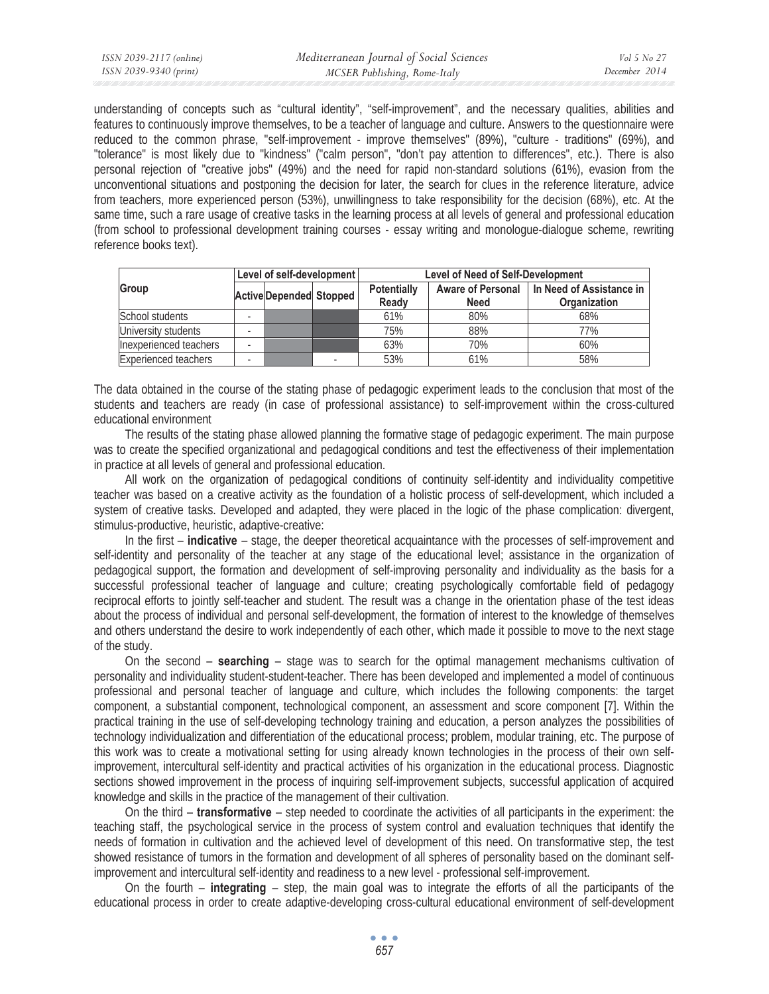understanding of concepts such as "cultural identity", "self-improvement", and the necessary qualities, abilities and features to continuously improve themselves, to be a teacher of language and culture. Answers to the questionnaire were reduced to the common phrase, "self-improvement - improve themselves" (89%), "culture - traditions" (69%), and "tolerance" is most likely due to "kindness" ("calm person", "don't pay attention to differences", etc.). There is also personal rejection of "creative jobs" (49%) and the need for rapid non-standard solutions (61%), evasion from the unconventional situations and postponing the decision for later, the search for clues in the reference literature, advice from teachers, more experienced person (53%), unwillingness to take responsibility for the decision (68%), etc. At the same time, such a rare usage of creative tasks in the learning process at all levels of general and professional education (from school to professional development training courses - essay writing and monologue-dialogue scheme, rewriting reference books text).

| Level of self-development   |  | <b>Level of Need of Self-Development</b> |  |                             |                                         |                                                 |
|-----------------------------|--|------------------------------------------|--|-----------------------------|-----------------------------------------|-------------------------------------------------|
| Group                       |  | <b>Active Depended Stopped</b>           |  | <b>Potentially</b><br>Ready | <b>Aware of Personal</b><br><b>Need</b> | In Need of Assistance in<br><b>Organization</b> |
| School students             |  |                                          |  | 61%                         | 80%                                     | 68%                                             |
| University students         |  |                                          |  | 75%                         | 88%                                     | 77%                                             |
| Inexperienced teachers      |  |                                          |  | 63%                         | 70%                                     | 60%                                             |
| <b>Experienced teachers</b> |  |                                          |  | 53%                         | 61%                                     | 58%                                             |

The data obtained in the course of the stating phase of pedagogic experiment leads to the conclusion that most of the students and teachers are ready (in case of professional assistance) to self-improvement within the cross-cultured educational environment

The results of the stating phase allowed planning the formative stage of pedagogic experiment. The main purpose was to create the specified organizational and pedagogical conditions and test the effectiveness of their implementation in practice at all levels of general and professional education.

All work on the organization of pedagogical conditions of continuity self-identity and individuality competitive teacher was based on a creative activity as the foundation of a holistic process of self-development, which included a system of creative tasks. Developed and adapted, they were placed in the logic of the phase complication: divergent, stimulus-productive, heuristic, adaptive-creative:

In the first – **indicative** – stage, the deeper theoretical acquaintance with the processes of self-improvement and self-identity and personality of the teacher at any stage of the educational level; assistance in the organization of pedagogical support, the formation and development of self-improving personality and individuality as the basis for a successful professional teacher of language and culture; creating psychologically comfortable field of pedagogy reciprocal efforts to jointly self-teacher and student. The result was a change in the orientation phase of the test ideas about the process of individual and personal self-development, the formation of interest to the knowledge of themselves and others understand the desire to work independently of each other, which made it possible to move to the next stage of the study.

On the second – **searching** – stage was to search for the optimal management mechanisms cultivation of personality and individuality student-student-teacher. There has been developed and implemented a model of continuous professional and personal teacher of language and culture, which includes the following components: the target component, a substantial component, technological component, an assessment and score component [7]. Within the practical training in the use of self-developing technology training and education, a person analyzes the possibilities of technology individualization and differentiation of the educational process; problem, modular training, etc. The purpose of this work was to create a motivational setting for using already known technologies in the process of their own selfimprovement, intercultural self-identity and practical activities of his organization in the educational process. Diagnostic sections showed improvement in the process of inquiring self-improvement subjects, successful application of acquired knowledge and skills in the practice of the management of their cultivation.

On the third – **transformative** – step needed to coordinate the activities of all participants in the experiment: the teaching staff, the psychological service in the process of system control and evaluation techniques that identify the needs of formation in cultivation and the achieved level of development of this need. On transformative step, the test showed resistance of tumors in the formation and development of all spheres of personality based on the dominant selfimprovement and intercultural self-identity and readiness to a new level - professional self-improvement.

On the fourth – **integrating** – step, the main goal was to integrate the efforts of all the participants of the educational process in order to create adaptive-developing cross-cultural educational environment of self-development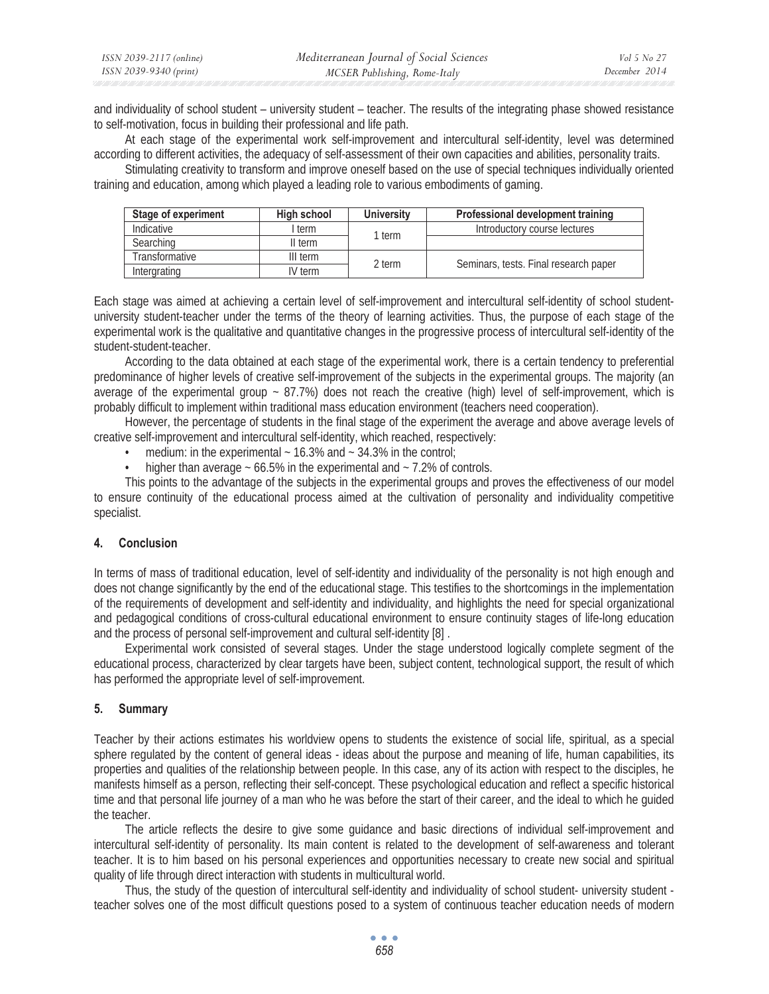and individuality of school student – university student – teacher. The results of the integrating phase showed resistance to self-motivation, focus in building their professional and life path.

At each stage of the experimental work self-improvement and intercultural self-identity, level was determined according to different activities, the adequacy of self-assessment of their own capacities and abilities, personality traits.

Stimulating creativity to transform and improve oneself based on the use of special techniques individually oriented training and education, among which played a leading role to various embodiments of gaming.

| Stage of experiment   | High school | <b>University</b> | <b>Professional development training</b> |
|-----------------------|-------------|-------------------|------------------------------------------|
| Indicative            | term        | l term            | Introductory course lectures             |
| Searching             | II term     |                   |                                          |
| <b>Transformative</b> | III term    | 2 term            |                                          |
| Intergrating          | IV term     |                   | Seminars, tests. Final research paper    |

Each stage was aimed at achieving a certain level of self-improvement and intercultural self-identity of school studentuniversity student-teacher under the terms of the theory of learning activities. Thus, the purpose of each stage of the experimental work is the qualitative and quantitative changes in the progressive process of intercultural self-identity of the student-student-teacher.

According to the data obtained at each stage of the experimental work, there is a certain tendency to preferential predominance of higher levels of creative self-improvement of the subjects in the experimental groups. The majority (an average of the experimental group  $\sim$  87.7%) does not reach the creative (high) level of self-improvement, which is probably difficult to implement within traditional mass education environment (teachers need cooperation).

However, the percentage of students in the final stage of the experiment the average and above average levels of creative self-improvement and intercultural self-identity, which reached, respectively:

- medium: in the experimental  $\sim$  16.3% and  $\sim$  34.3% in the control;
- higher than average  $\sim$  66.5% in the experimental and  $\sim$  7.2% of controls.

This points to the advantage of the subjects in the experimental groups and proves the effectiveness of our model to ensure continuity of the educational process aimed at the cultivation of personality and individuality competitive specialist.

## **4. Conclusion**

In terms of mass of traditional education, level of self-identity and individuality of the personality is not high enough and does not change significantly by the end of the educational stage. This testifies to the shortcomings in the implementation of the requirements of development and self-identity and individuality, and highlights the need for special organizational and pedagogical conditions of cross-cultural educational environment to ensure continuity stages of life-long education and the process of personal self-improvement and cultural self-identity [8] .

Experimental work consisted of several stages. Under the stage understood logically complete segment of the educational process, characterized by clear targets have been, subject content, technological support, the result of which has performed the appropriate level of self-improvement.

## **5. Summary**

Teacher by their actions estimates his worldview opens to students the existence of social life, spiritual, as a special sphere regulated by the content of general ideas - ideas about the purpose and meaning of life, human capabilities, its properties and qualities of the relationship between people. In this case, any of its action with respect to the disciples, he manifests himself as a person, reflecting their self-concept. These psychological education and reflect a specific historical time and that personal life journey of a man who he was before the start of their career, and the ideal to which he guided the teacher.

The article reflects the desire to give some guidance and basic directions of individual self-improvement and intercultural self-identity of personality. Its main content is related to the development of self-awareness and tolerant teacher. It is to him based on his personal experiences and opportunities necessary to create new social and spiritual quality of life through direct interaction with students in multicultural world.

Thus, the study of the question of intercultural self-identity and individuality of school student- university student teacher solves one of the most difficult questions posed to a system of continuous teacher education needs of modern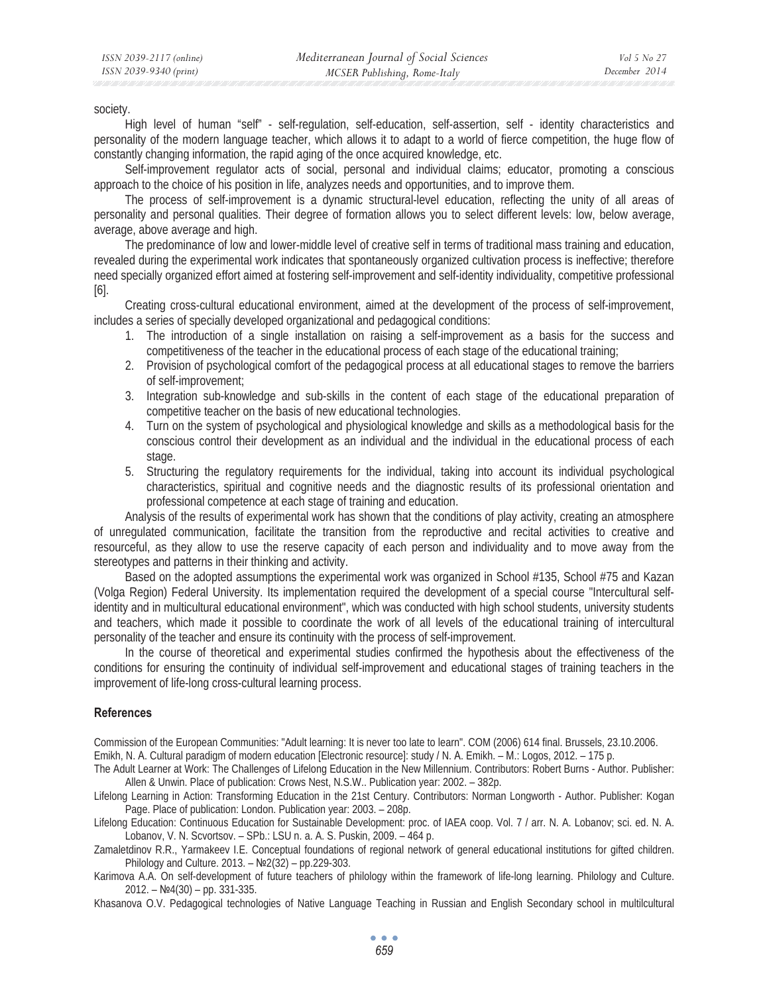society.

High level of human "self" - self-regulation, self-education, self-assertion, self - identity characteristics and personality of the modern language teacher, which allows it to adapt to a world of fierce competition, the huge flow of constantly changing information, the rapid aging of the once acquired knowledge, etc.

Self-improvement regulator acts of social, personal and individual claims; educator, promoting a conscious approach to the choice of his position in life, analyzes needs and opportunities, and to improve them.

The process of self-improvement is a dynamic structural-level education, reflecting the unity of all areas of personality and personal qualities. Their degree of formation allows you to select different levels: low, below average, average, above average and high.

The predominance of low and lower-middle level of creative self in terms of traditional mass training and education, revealed during the experimental work indicates that spontaneously organized cultivation process is ineffective; therefore need specially organized effort aimed at fostering self-improvement and self-identity individuality, competitive professional [6].

Creating cross-cultural educational environment, aimed at the development of the process of self-improvement, includes a series of specially developed organizational and pedagogical conditions:

- 1. The introduction of a single installation on raising a self-improvement as a basis for the success and competitiveness of the teacher in the educational process of each stage of the educational training;
- 2. Provision of psychological comfort of the pedagogical process at all educational stages to remove the barriers of self-improvement;
- 3. Integration sub-knowledge and sub-skills in the content of each stage of the educational preparation of competitive teacher on the basis of new educational technologies.
- 4. Turn on the system of psychological and physiological knowledge and skills as a methodological basis for the conscious control their development as an individual and the individual in the educational process of each stage.
- 5. Structuring the regulatory requirements for the individual, taking into account its individual psychological characteristics, spiritual and cognitive needs and the diagnostic results of its professional orientation and professional competence at each stage of training and education.

Analysis of the results of experimental work has shown that the conditions of play activity, creating an atmosphere of unregulated communication, facilitate the transition from the reproductive and recital activities to creative and resourceful, as they allow to use the reserve capacity of each person and individuality and to move away from the stereotypes and patterns in their thinking and activity.

Based on the adopted assumptions the experimental work was organized in School #135, School #75 and Kazan (Volga Region) Federal University. Its implementation required the development of a special course "Intercultural selfidentity and in multicultural educational environment", which was conducted with high school students, university students and teachers, which made it possible to coordinate the work of all levels of the educational training of intercultural personality of the teacher and ensure its continuity with the process of self-improvement.

In the course of theoretical and experimental studies confirmed the hypothesis about the effectiveness of the conditions for ensuring the continuity of individual self-improvement and educational stages of training teachers in the improvement of life-long cross-cultural learning process.

#### **References**

Commission of the European Communities: "Adult learning: It is never too late to learn". COM (2006) 614 final. Brussels, 23.10.2006. Emikh, N. A. Cultural paradigm of modern education [Electronic resource]: study / N. A. Emikh. – M.: Logos, 2012. – 175 p.

The Adult Learner at Work: The Challenges of Lifelong Education in the New Millennium. Contributors: Robert Burns - Author. Publisher: Allen & Unwin. Place of publication: Crows Nest, N.S.W.. Publication year: 2002. – 382p.

Lifelong Learning in Action: Transforming Education in the 21st Century. Contributors: Norman Longworth - Author. Publisher: Kogan Page. Place of publication: London. Publication year: 2003. – 208p.

Lifelong Education: Continuous Education for Sustainable Development: proc. of IAEA coop. Vol. 7 / arr. N. A. Lobanov; sci. ed. N. A. Lobanov, V. N. Scvortsov. – SPb.: LSU n. a. A. S. Puskin, 2009. – 464 p.

Zamaletdinov R.R., Yarmakeev I.E. Conceptual foundations of regional network of general educational institutions for gifted children. Philology and Culture. 2013. –  $N<sup>2</sup> (32)$  – pp.229-303.

Karimova A.A. On self-development of future teachers of philology within the framework of life-long learning. Philology and Culture.  $2012. - N94(30) - pp. 331-335.$ 

Khasanova O.V. Pedagogical technologies of Native Language Teaching in Russian and English Secondary school in multilcultural